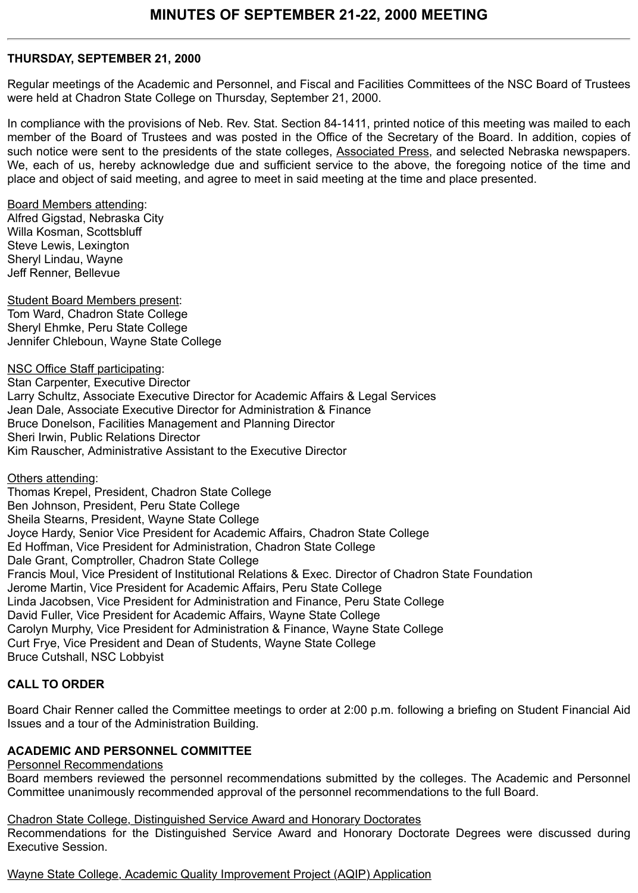### **THURSDAY, SEPTEMBER 21, 2000**

Regular meetings of the Academic and Personnel, and Fiscal and Facilities Committees of the NSC Board of Trustees were held at Chadron State College on Thursday, September 21, 2000.

In compliance with the provisions of Neb. Rev. Stat. Section 84-1411, printed notice of this meeting was mailed to each member of the Board of Trustees and was posted in the Office of the Secretary of the Board. In addition, copies of such notice were sent to the presidents of the state colleges, Associated Press, and selected Nebraska newspapers. We, each of us, hereby acknowledge due and sufficient service to the above, the foregoing notice of the time and place and object of said meeting, and agree to meet in said meeting at the time and place presented.

Board Members attending:

Alfred Gigstad, Nebraska City Willa Kosman, Scottsbluff Steve Lewis, Lexington Sheryl Lindau, Wayne Jeff Renner, Bellevue

Student Board Members present: Tom Ward, Chadron State College Sheryl Ehmke, Peru State College Jennifer Chleboun, Wayne State College

NSC Office Staff participating: Stan Carpenter, Executive Director Larry Schultz, Associate Executive Director for Academic Affairs & Legal Services Jean Dale, Associate Executive Director for Administration & Finance Bruce Donelson, Facilities Management and Planning Director Sheri Irwin, Public Relations Director Kim Rauscher, Administrative Assistant to the Executive Director

Others attending:

Thomas Krepel, President, Chadron State College Ben Johnson, President, Peru State College Sheila Stearns, President, Wayne State College Joyce Hardy, Senior Vice President for Academic Affairs, Chadron State College Ed Hoffman, Vice President for Administration, Chadron State College Dale Grant, Comptroller, Chadron State College Francis Moul, Vice President of Institutional Relations & Exec. Director of Chadron State Foundation Jerome Martin, Vice President for Academic Affairs, Peru State College Linda Jacobsen, Vice President for Administration and Finance, Peru State College David Fuller, Vice President for Academic Affairs, Wayne State College Carolyn Murphy, Vice President for Administration & Finance, Wayne State College Curt Frye, Vice President and Dean of Students, Wayne State College Bruce Cutshall, NSC Lobbyist

# **CALL TO ORDER**

Board Chair Renner called the Committee meetings to order at 2:00 p.m. following a briefing on Student Financial Aid Issues and a tour of the Administration Building.

#### **ACADEMIC AND PERSONNEL COMMITTEE**

#### Personnel Recommendations

Board members reviewed the personnel recommendations submitted by the colleges. The Academic and Personnel Committee unanimously recommended approval of the personnel recommendations to the full Board.

Chadron State College, Distinguished Service Award and Honorary Doctorates

Recommendations for the Distinguished Service Award and Honorary Doctorate Degrees were discussed during Executive Session.

Wayne State College, Academic Quality Improvement Project (AQIP) Application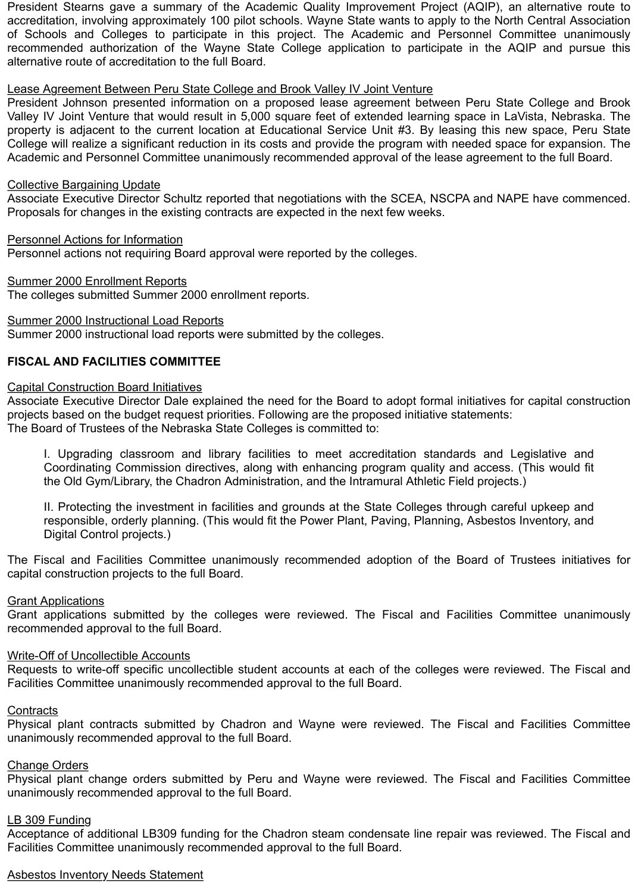President Stearns gave a summary of the Academic Quality Improvement Project (AQIP), an alternative route to accreditation, involving approximately 100 pilot schools. Wayne State wants to apply to the North Central Association of Schools and Colleges to participate in this project. The Academic and Personnel Committee unanimously recommended authorization of the Wayne State College application to participate in the AQIP and pursue this alternative route of accreditation to the full Board.

#### Lease Agreement Between Peru State College and Brook Valley IV Joint Venture

President Johnson presented information on a proposed lease agreement between Peru State College and Brook Valley IV Joint Venture that would result in 5,000 square feet of extended learning space in LaVista, Nebraska. The property is adjacent to the current location at Educational Service Unit #3. By leasing this new space, Peru State College will realize a significant reduction in its costs and provide the program with needed space for expansion. The Academic and Personnel Committee unanimously recommended approval of the lease agreement to the full Board.

#### Collective Bargaining Update

Associate Executive Director Schultz reported that negotiations with the SCEA, NSCPA and NAPE have commenced. Proposals for changes in the existing contracts are expected in the next few weeks.

Personnel Actions for Information Personnel actions not requiring Board approval were reported by the colleges.

Summer 2000 Enrollment Reports The colleges submitted Summer 2000 enrollment reports.

#### Summer 2000 Instructional Load Reports

Summer 2000 instructional load reports were submitted by the colleges.

# **FISCAL AND FACILITIES COMMITTEE**

#### Capital Construction Board Initiatives

Associate Executive Director Dale explained the need for the Board to adopt formal initiatives for capital construction projects based on the budget request priorities. Following are the proposed initiative statements: The Board of Trustees of the Nebraska State Colleges is committed to:

I. Upgrading classroom and library facilities to meet accreditation standards and Legislative and Coordinating Commission directives, along with enhancing program quality and access. (This would fit the Old Gym/Library, the Chadron Administration, and the Intramural Athletic Field projects.)

II. Protecting the investment in facilities and grounds at the State Colleges through careful upkeep and responsible, orderly planning. (This would fit the Power Plant, Paving, Planning, Asbestos Inventory, and Digital Control projects.)

The Fiscal and Facilities Committee unanimously recommended adoption of the Board of Trustees initiatives for capital construction projects to the full Board.

#### Grant Applications

Grant applications submitted by the colleges were reviewed. The Fiscal and Facilities Committee unanimously recommended approval to the full Board.

#### Write-Off of Uncollectible Accounts

Requests to write-off specific uncollectible student accounts at each of the colleges were reviewed. The Fiscal and Facilities Committee unanimously recommended approval to the full Board.

#### **Contracts**

Physical plant contracts submitted by Chadron and Wayne were reviewed. The Fiscal and Facilities Committee unanimously recommended approval to the full Board.

#### Change Orders

Physical plant change orders submitted by Peru and Wayne were reviewed. The Fiscal and Facilities Committee unanimously recommended approval to the full Board.

#### LB 309 Funding

Acceptance of additional LB309 funding for the Chadron steam condensate line repair was reviewed. The Fiscal and Facilities Committee unanimously recommended approval to the full Board.

#### Asbestos Inventory Needs Statement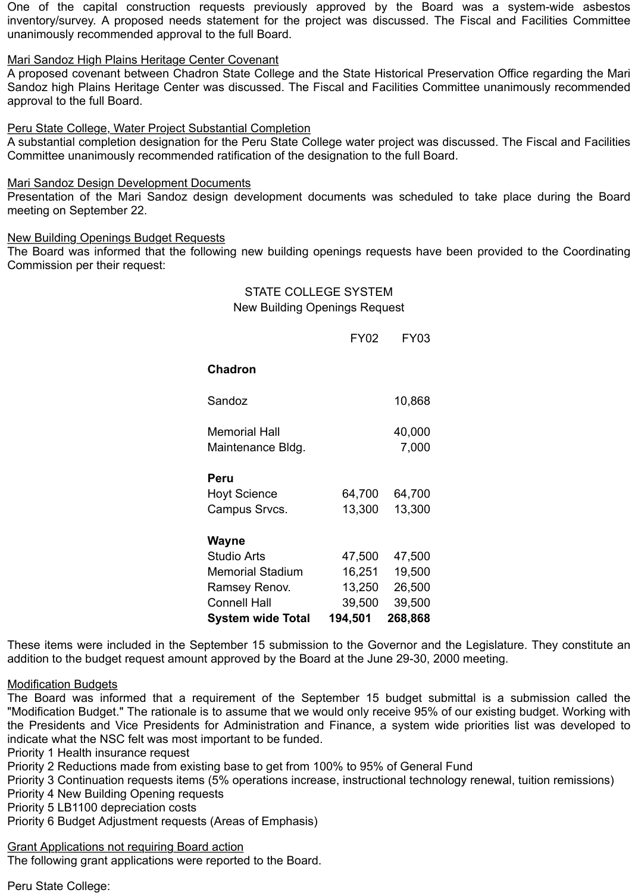One of the capital construction requests previously approved by the Board was a system-wide asbestos inventory/survey. A proposed needs statement for the project was discussed. The Fiscal and Facilities Committee unanimously recommended approval to the full Board.

### Mari Sandoz High Plains Heritage Center Covenant

A proposed covenant between Chadron State College and the State Historical Preservation Office regarding the Mari Sandoz high Plains Heritage Center was discussed. The Fiscal and Facilities Committee unanimously recommended approval to the full Board.

#### Peru State College, Water Project Substantial Completion

A substantial completion designation for the Peru State College water project was discussed. The Fiscal and Facilities Committee unanimously recommended ratification of the designation to the full Board.

#### Mari Sandoz Design Development Documents

Presentation of the Mari Sandoz design development documents was scheduled to take place during the Board meeting on September 22.

#### New Building Openings Budget Requests

The Board was informed that the following new building openings requests have been provided to the Coordinating Commission per their request:

> STATE COLLEGE SYSTEM New Building Openings Request

|                                           | <b>FY02</b> | FY03            |
|-------------------------------------------|-------------|-----------------|
| <b>Chadron</b>                            |             |                 |
| Sandoz                                    |             | 10,868          |
| <b>Memorial Hall</b><br>Maintenance Bldg. |             | 40,000<br>7,000 |
| Peru                                      |             |                 |
| <b>Hoyt Science</b>                       | 64,700      | 64,700          |
| Campus Srvcs.                             | 13,300      | 13,300          |
| Wayne                                     |             |                 |
| <b>Studio Arts</b>                        | 47,500      | 47,500          |
| <b>Memorial Stadium</b>                   | 16,251      | 19,500          |
| Ramsey Renov.                             | 13,250      | 26,500          |
| <b>Connell Hall</b>                       | 39,500      | 39,500          |
| <b>System wide Total</b>                  | 194,501     | 268,868         |

These items were included in the September 15 submission to the Governor and the Legislature. They constitute an addition to the budget request amount approved by the Board at the June 29-30, 2000 meeting.

#### Modification Budgets

The Board was informed that a requirement of the September 15 budget submittal is a submission called the "Modification Budget." The rationale is to assume that we would only receive 95% of our existing budget. Working with the Presidents and Vice Presidents for Administration and Finance, a system wide priorities list was developed to indicate what the NSC felt was most important to be funded.

Priority 1 Health insurance request

Priority 2 Reductions made from existing base to get from 100% to 95% of General Fund

Priority 3 Continuation requests items (5% operations increase, instructional technology renewal, tuition remissions)

Priority 4 New Building Opening requests

Priority 5 LB1100 depreciation costs

Priority 6 Budget Adjustment requests (Areas of Emphasis)

Grant Applications not requiring Board action

The following grant applications were reported to the Board.

Peru State College: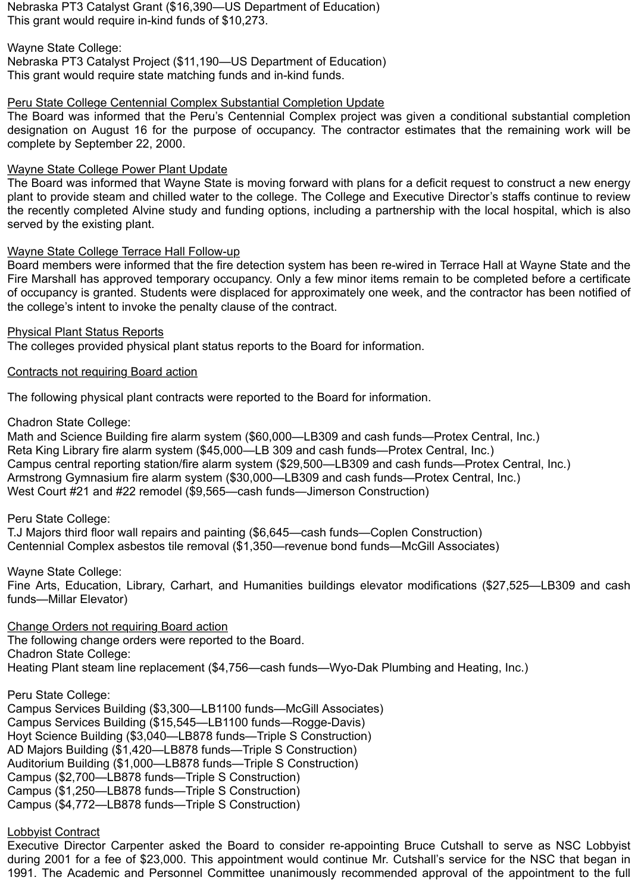Nebraska PT3 Catalyst Grant (\$16,390—US Department of Education) This grant would require in-kind funds of \$10,273.

Wayne State College:

Nebraska PT3 Catalyst Project (\$11,190—US Department of Education) This grant would require state matching funds and in-kind funds.

# Peru State College Centennial Complex Substantial Completion Update

The Board was informed that the Peru's Centennial Complex project was given a conditional substantial completion designation on August 16 for the purpose of occupancy. The contractor estimates that the remaining work will be complete by September 22, 2000.

# Wayne State College Power Plant Update

The Board was informed that Wayne State is moving forward with plans for a deficit request to construct a new energy plant to provide steam and chilled water to the college. The College and Executive Director's staffs continue to review the recently completed Alvine study and funding options, including a partnership with the local hospital, which is also served by the existing plant.

# Wayne State College Terrace Hall Follow-up

Board members were informed that the fire detection system has been re-wired in Terrace Hall at Wayne State and the Fire Marshall has approved temporary occupancy. Only a few minor items remain to be completed before a certificate of occupancy is granted. Students were displaced for approximately one week, and the contractor has been notified of the college's intent to invoke the penalty clause of the contract.

Physical Plant Status Reports

The colleges provided physical plant status reports to the Board for information.

# Contracts not requiring Board action

The following physical plant contracts were reported to the Board for information.

Chadron State College:

Math and Science Building fire alarm system (\$60,000—LB309 and cash funds—Protex Central, Inc.) Reta King Library fire alarm system (\$45,000—LB 309 and cash funds—Protex Central, Inc.) Campus central reporting station/fire alarm system (\$29,500—LB309 and cash funds—Protex Central, Inc.) Armstrong Gymnasium fire alarm system (\$30,000—LB309 and cash funds—Protex Central, Inc.) West Court #21 and #22 remodel (\$9,565—cash funds—Jimerson Construction)

Peru State College:

T.J Majors third floor wall repairs and painting (\$6,645—cash funds—Coplen Construction) Centennial Complex asbestos tile removal (\$1,350—revenue bond funds—McGill Associates)

Wayne State College: Fine Arts, Education, Library, Carhart, and Humanities buildings elevator modifications (\$27,525—LB309 and cash funds—Millar Elevator)

Change Orders not requiring Board action The following change orders were reported to the Board. Chadron State College: Heating Plant steam line replacement (\$4,756—cash funds—Wyo-Dak Plumbing and Heating, Inc.)

Peru State College: Campus Services Building (\$3,300—LB1100 funds—McGill Associates) Campus Services Building (\$15,545—LB1100 funds—Rogge-Davis) Hoyt Science Building (\$3,040—LB878 funds—Triple S Construction) AD Majors Building (\$1,420—LB878 funds—Triple S Construction) Auditorium Building (\$1,000—LB878 funds—Triple S Construction) Campus (\$2,700—LB878 funds—Triple S Construction) Campus (\$1,250—LB878 funds—Triple S Construction) Campus (\$4,772—LB878 funds—Triple S Construction)

# Lobbyist Contract

Executive Director Carpenter asked the Board to consider re-appointing Bruce Cutshall to serve as NSC Lobbyist during 2001 for a fee of \$23,000. This appointment would continue Mr. Cutshall's service for the NSC that began in 1991. The Academic and Personnel Committee unanimously recommended approval of the appointment to the full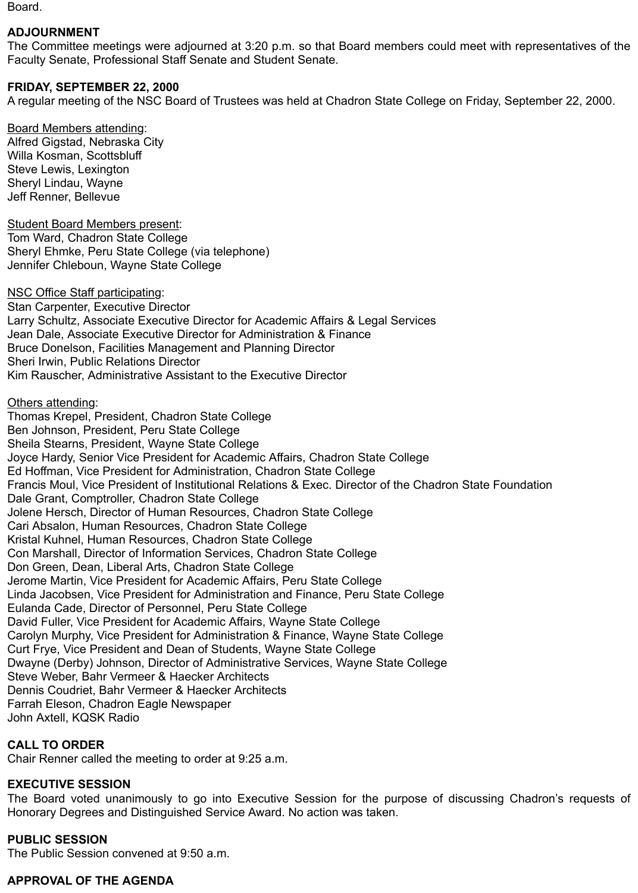Board.

# **ADJOURNMENT**

The Committee meetings were adjourned at 3:20 p.m. so that Board members could meet with representatives of the Faculty Senate, Professional Staff Senate and Student Senate.

# **FRIDAY, SEPTEMBER 22, 2000**

A regular meeting of the NSC Board of Trustees was held at Chadron State College on Friday, September 22, 2000.

Board Members attending: Alfred Gigstad, Nebraska City Willa Kosman, Scottsbluff Steve Lewis, Lexington Sheryl Lindau, Wayne Jeff Renner, Bellevue

Student Board Members present: Tom Ward, Chadron State College Sheryl Ehmke, Peru State College (via telephone) Jennifer Chleboun, Wayne State College

NSC Office Staff participating: Stan Carpenter, Executive Director Larry Schultz, Associate Executive Director for Academic Affairs & Legal Services Jean Dale, Associate Executive Director for Administration & Finance Bruce Donelson, Facilities Management and Planning Director Sheri Irwin, Public Relations Director Kim Rauscher, Administrative Assistant to the Executive Director

#### Others attending:

Thomas Krepel, President, Chadron State College Ben Johnson, President, Peru State College Sheila Stearns, President, Wayne State College Joyce Hardy, Senior Vice President for Academic Affairs, Chadron State College Ed Hoffman, Vice President for Administration, Chadron State College Francis Moul, Vice President of Institutional Relations & Exec. Director of the Chadron State Foundation Dale Grant, Comptroller, Chadron State College Jolene Hersch, Director of Human Resources, Chadron State College Cari Absalon, Human Resources, Chadron State College Kristal Kuhnel, Human Resources, Chadron State College Con Marshall, Director of Information Services, Chadron State College Don Green, Dean, Liberal Arts, Chadron State College Jerome Martin, Vice President for Academic Affairs, Peru State College Linda Jacobsen, Vice President for Administration and Finance, Peru State College Eulanda Cade, Director of Personnel, Peru State College David Fuller, Vice President for Academic Affairs, Wayne State College Carolyn Murphy, Vice President for Administration & Finance, Wayne State College Curt Frye, Vice President and Dean of Students, Wayne State College Dwayne (Derby) Johnson, Director of Administrative Services, Wayne State College Steve Weber, Bahr Vermeer & Haecker Architects Dennis Coudriet, Bahr Vermeer & Haecker Architects Farrah Eleson, Chadron Eagle Newspaper John Axtell, KQSK Radio

# **CALL TO ORDER**

Chair Renner called the meeting to order at 9:25 a.m.

# **EXECUTIVE SESSION**

The Board voted unanimously to go into Executive Session for the purpose of discussing Chadron's requests of Honorary Degrees and Distinguished Service Award. No action was taken.

# **PUBLIC SESSION**

The Public Session convened at 9:50 a.m.

# **APPROVAL OF THE AGENDA**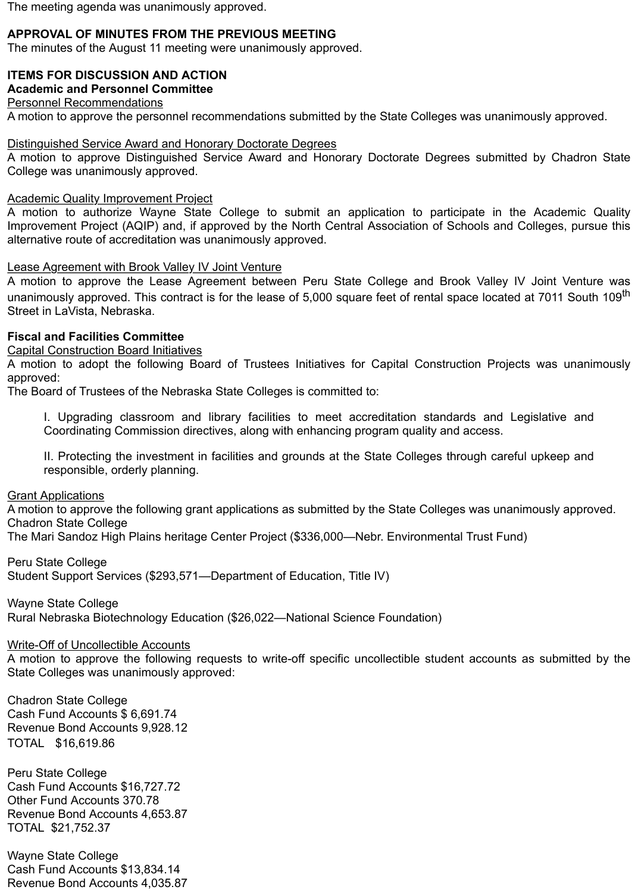The meeting agenda was unanimously approved.

# **APPROVAL OF MINUTES FROM THE PREVIOUS MEETING**

The minutes of the August 11 meeting were unanimously approved.

# **ITEMS FOR DISCUSSION AND ACTION**

# **Academic and Personnel Committee**

Personnel Recommendations

A motion to approve the personnel recommendations submitted by the State Colleges was unanimously approved.

### Distinguished Service Award and Honorary Doctorate Degrees

A motion to approve Distinguished Service Award and Honorary Doctorate Degrees submitted by Chadron State College was unanimously approved.

#### Academic Quality Improvement Project

A motion to authorize Wayne State College to submit an application to participate in the Academic Quality Improvement Project (AQIP) and, if approved by the North Central Association of Schools and Colleges, pursue this alternative route of accreditation was unanimously approved.

#### Lease Agreement with Brook Valley IV Joint Venture

A motion to approve the Lease Agreement between Peru State College and Brook Valley IV Joint Venture was unanimously approved. This contract is for the lease of 5,000 square feet of rental space located at 7011 South 109<sup>th</sup> Street in LaVista, Nebraska.

#### **Fiscal and Facilities Committee**

Capital Construction Board Initiatives

A motion to adopt the following Board of Trustees Initiatives for Capital Construction Projects was unanimously approved:

The Board of Trustees of the Nebraska State Colleges is committed to:

I. Upgrading classroom and library facilities to meet accreditation standards and Legislative and Coordinating Commission directives, along with enhancing program quality and access.

II. Protecting the investment in facilities and grounds at the State Colleges through careful upkeep and responsible, orderly planning.

Grant Applications

A motion to approve the following grant applications as submitted by the State Colleges was unanimously approved. Chadron State College

The Mari Sandoz High Plains heritage Center Project (\$336,000—Nebr. Environmental Trust Fund)

Peru State College

Student Support Services (\$293,571—Department of Education, Title IV)

Wayne State College Rural Nebraska Biotechnology Education (\$26,022—National Science Foundation)

# Write-Off of Uncollectible Accounts

A motion to approve the following requests to write-off specific uncollectible student accounts as submitted by the State Colleges was unanimously approved:

Chadron State College Cash Fund Accounts \$ 6,691.74 Revenue Bond Accounts 9,928.12 TOTAL \$16,619.86

Peru State College Cash Fund Accounts \$16,727.72 Other Fund Accounts 370.78 Revenue Bond Accounts 4,653.87 TOTAL \$21,752.37

Wayne State College Cash Fund Accounts \$13,834.14 Revenue Bond Accounts 4,035.87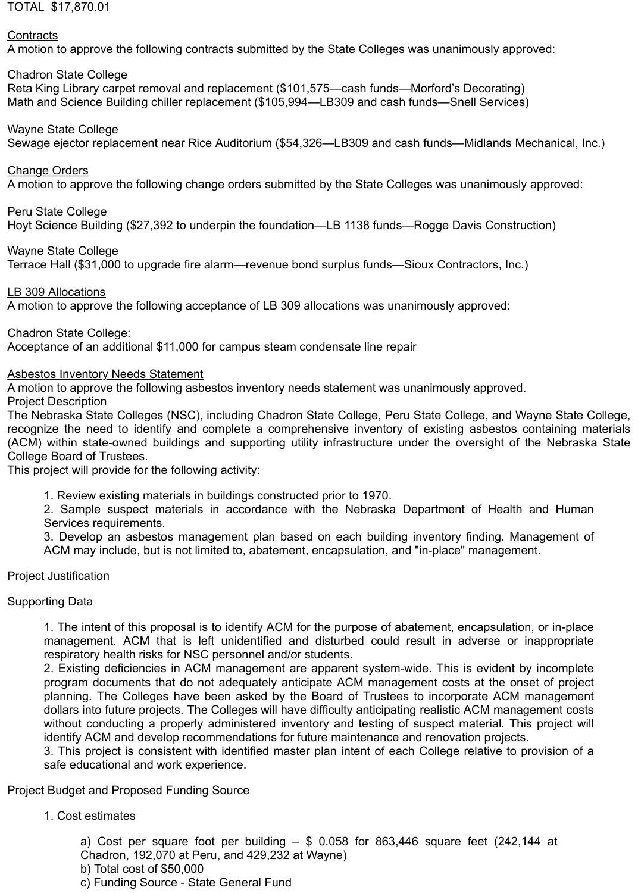### TOTAL \$17,870.01

### **Contracts**

A motion to approve the following contracts submitted by the State Colleges was unanimously approved:

# Chadron State College

Reta King Library carpet removal and replacement (\$101,575—cash funds—Morford's Decorating) Math and Science Building chiller replacement (\$105,994—LB309 and cash funds—Snell Services)

# Wayne State College

Sewage ejector replacement near Rice Auditorium (\$54,326—LB309 and cash funds—Midlands Mechanical, Inc.)

### Change Orders

A motion to approve the following change orders submitted by the State Colleges was unanimously approved:

#### Peru State College

Hoyt Science Building (\$27,392 to underpin the foundation—LB 1138 funds—Rogge Davis Construction)

Wayne State College

Terrace Hall (\$31,000 to upgrade fire alarm—revenue bond surplus funds—Sioux Contractors, Inc.)

#### LB 309 Allocations

A motion to approve the following acceptance of LB 309 allocations was unanimously approved:

Chadron State College:

Acceptance of an additional \$11,000 for campus steam condensate line repair

#### Asbestos Inventory Needs Statement

A motion to approve the following asbestos inventory needs statement was unanimously approved. Project Description

The Nebraska State Colleges (NSC), including Chadron State College, Peru State College, and Wayne State College, recognize the need to identify and complete a comprehensive inventory of existing asbestos containing materials (ACM) within state-owned buildings and supporting utility infrastructure under the oversight of the Nebraska State College Board of Trustees.

This project will provide for the following activity:

1. Review existing materials in buildings constructed prior to 1970.

2. Sample suspect materials in accordance with the Nebraska Department of Health and Human Services requirements.

3. Develop an asbestos management plan based on each building inventory finding. Management of ACM may include, but is not limited to, abatement, encapsulation, and "in-place" management.

# Project Justification

# Supporting Data

1. The intent of this proposal is to identify ACM for the purpose of abatement, encapsulation, or in-place management. ACM that is left unidentified and disturbed could result in adverse or inappropriate respiratory health risks for NSC personnel and/or students.

2. Existing deficiencies in ACM management are apparent system-wide. This is evident by incomplete program documents that do not adequately anticipate ACM management costs at the onset of project planning. The Colleges have been asked by the Board of Trustees to incorporate ACM management dollars into future projects. The Colleges will have difficulty anticipating realistic ACM management costs without conducting a properly administered inventory and testing of suspect material. This project will identify ACM and develop recommendations for future maintenance and renovation projects.

3. This project is consistent with identified master plan intent of each College relative to provision of a safe educational and work experience.

Project Budget and Proposed Funding Source

# 1. Cost estimates

a) Cost per square foot per building  $-$  \$ 0.058 for 863,446 square feet (242,144 at Chadron, 192,070 at Peru, and 429,232 at Wayne)

- b) Total cost of \$50,000
- c) Funding Source State General Fund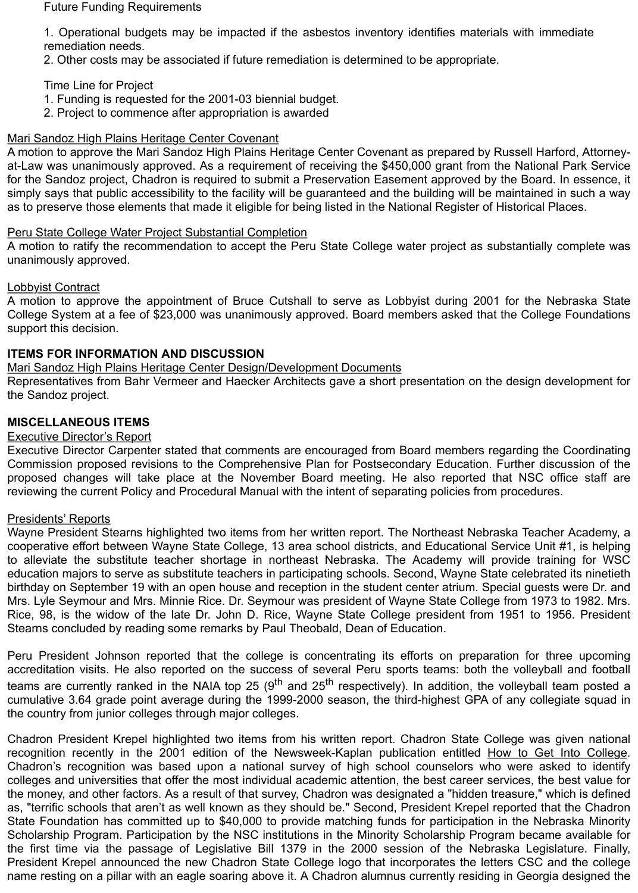#### Future Funding Requirements

1. Operational budgets may be impacted if the asbestos inventory identifies materials with immediate remediation needs.

2. Other costs may be associated if future remediation is determined to be appropriate.

Time Line for Project

- 1. Funding is requested for the 2001-03 biennial budget.
- 2. Project to commence after appropriation is awarded

# Mari Sandoz High Plains Heritage Center Covenant

A motion to approve the Mari Sandoz High Plains Heritage Center Covenant as prepared by Russell Harford, Attorneyat-Law was unanimously approved. As a requirement of receiving the \$450,000 grant from the National Park Service for the Sandoz project, Chadron is required to submit a Preservation Easement approved by the Board. In essence, it simply says that public accessibility to the facility will be guaranteed and the building will be maintained in such a way as to preserve those elements that made it eligible for being listed in the National Register of Historical Places.

# Peru State College Water Project Substantial Completion

A motion to ratify the recommendation to accept the Peru State College water project as substantially complete was unanimously approved.

# Lobbyist Contract

A motion to approve the appointment of Bruce Cutshall to serve as Lobbyist during 2001 for the Nebraska State College System at a fee of \$23,000 was unanimously approved. Board members asked that the College Foundations support this decision.

# **ITEMS FOR INFORMATION AND DISCUSSION**

# Mari Sandoz High Plains Heritage Center Design/Development Documents

Representatives from Bahr Vermeer and Haecker Architects gave a short presentation on the design development for the Sandoz project.

# **MISCELLANEOUS ITEMS**

# Executive Director's Report

Executive Director Carpenter stated that comments are encouraged from Board members regarding the Coordinating Commission proposed revisions to the Comprehensive Plan for Postsecondary Education. Further discussion of the proposed changes will take place at the November Board meeting. He also reported that NSC office staff are reviewing the current Policy and Procedural Manual with the intent of separating policies from procedures.

# Presidents' Reports

Wayne President Stearns highlighted two items from her written report. The Northeast Nebraska Teacher Academy, a cooperative effort between Wayne State College, 13 area school districts, and Educational Service Unit #1, is helping to alleviate the substitute teacher shortage in northeast Nebraska. The Academy will provide training for WSC education majors to serve as substitute teachers in participating schools. Second, Wayne State celebrated its ninetieth birthday on September 19 with an open house and reception in the student center atrium. Special guests were Dr. and Mrs. Lyle Seymour and Mrs. Minnie Rice. Dr. Seymour was president of Wayne State College from 1973 to 1982. Mrs. Rice, 98, is the widow of the late Dr. John D. Rice, Wayne State College president from 1951 to 1956. President Stearns concluded by reading some remarks by Paul Theobald, Dean of Education.

Peru President Johnson reported that the college is concentrating its efforts on preparation for three upcoming accreditation visits. He also reported on the success of several Peru sports teams: both the volleyball and football teams are currently ranked in the NAIA top 25 (9<sup>th</sup> and 25<sup>th</sup> respectively). In addition, the volleyball team posted a cumulative 3.64 grade point average during the 1999-2000 season, the third-highest GPA of any collegiate squad in the country from junior colleges through major colleges.

Chadron President Krepel highlighted two items from his written report. Chadron State College was given national recognition recently in the 2001 edition of the Newsweek-Kaplan publication entitled How to Get Into College. Chadron's recognition was based upon a national survey of high school counselors who were asked to identify colleges and universities that offer the most individual academic attention, the best career services, the best value for the money, and other factors. As a result of that survey, Chadron was designated a "hidden treasure," which is defined as, "terrific schools that aren't as well known as they should be." Second, President Krepel reported that the Chadron State Foundation has committed up to \$40,000 to provide matching funds for participation in the Nebraska Minority Scholarship Program. Participation by the NSC institutions in the Minority Scholarship Program became available for the first time via the passage of Legislative Bill 1379 in the 2000 session of the Nebraska Legislature. Finally, President Krepel announced the new Chadron State College logo that incorporates the letters CSC and the college name resting on a pillar with an eagle soaring above it. A Chadron alumnus currently residing in Georgia designed the